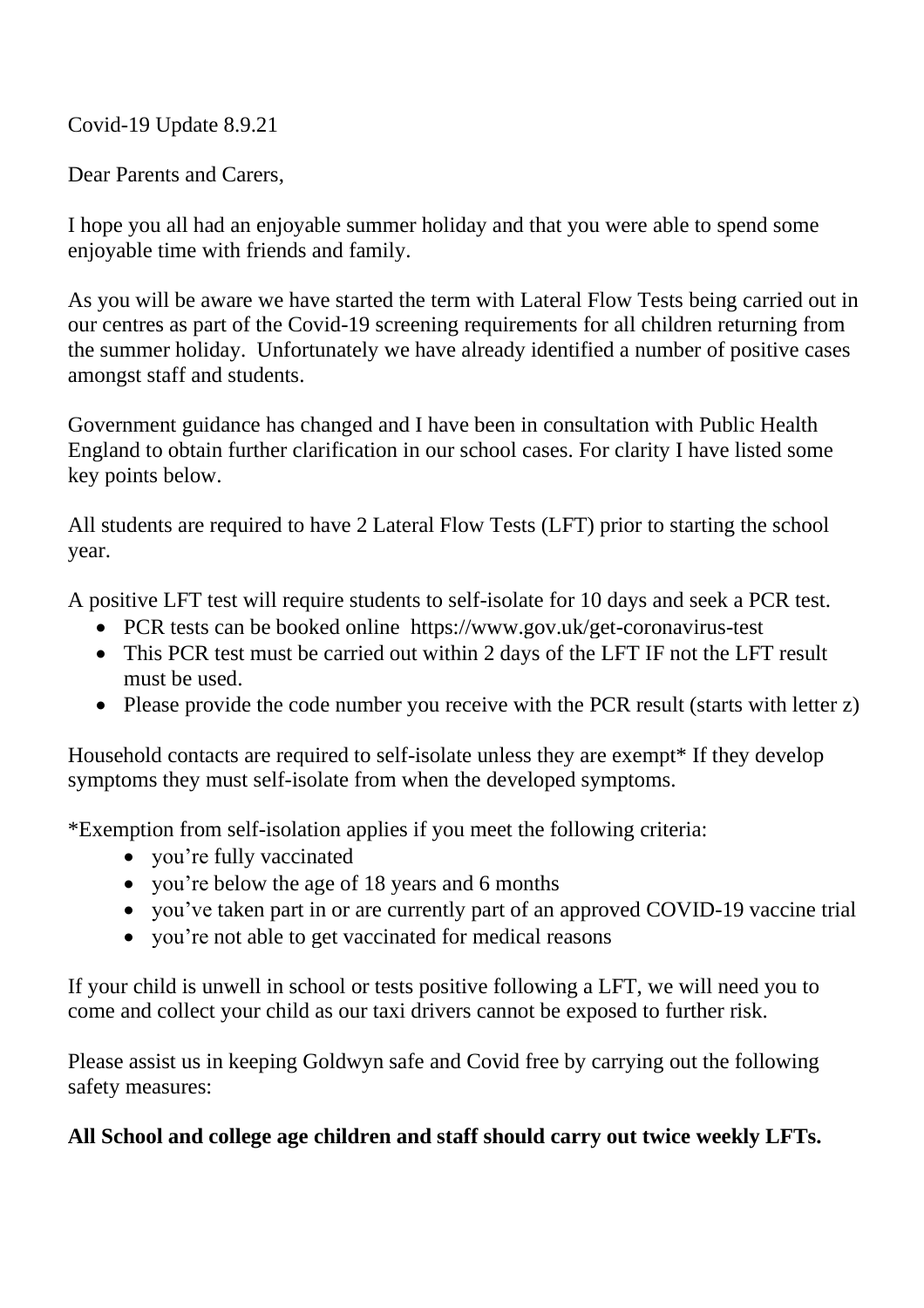Covid-19 Update 8.9.21

Dear Parents and Carers,

I hope you all had an enjoyable summer holiday and that you were able to spend some enjoyable time with friends and family.

As you will be aware we have started the term with Lateral Flow Tests being carried out in our centres as part of the Covid-19 screening requirements for all children returning from the summer holiday. Unfortunately we have already identified a number of positive cases amongst staff and students.

Government guidance has changed and I have been in consultation with Public Health England to obtain further clarification in our school cases. For clarity I have listed some key points below.

All students are required to have 2 Lateral Flow Tests (LFT) prior to starting the school year.

A positive LFT test will require students to self-isolate for 10 days and seek a PCR test.

- PCR tests can be booked online <https://www.gov.uk/get-coronavirus-test>
- This PCR test must be carried out within 2 days of the LFT IF not the LFT result must be used.
- Please provide the code number you receive with the PCR result (starts with letter z)

Household contacts are required to self-isolate unless they are exempt\* If they develop symptoms they must self-isolate from when the developed symptoms.

\*Exemption from self-isolation applies if you meet the following criteria:

- you're fully vaccinated
- you're below the age of 18 years and 6 months
- you've taken part in or are currently part of an approved COVID-19 vaccine trial
- you're not able to get vaccinated for medical reasons

If your child is unwell in school or tests positive following a LFT, we will need you to come and collect your child as our taxi drivers cannot be exposed to further risk.

Please assist us in keeping Goldwyn safe and Covid free by carrying out the following safety measures:

## **All School and college age children and staff should carry out twice weekly LFTs.**